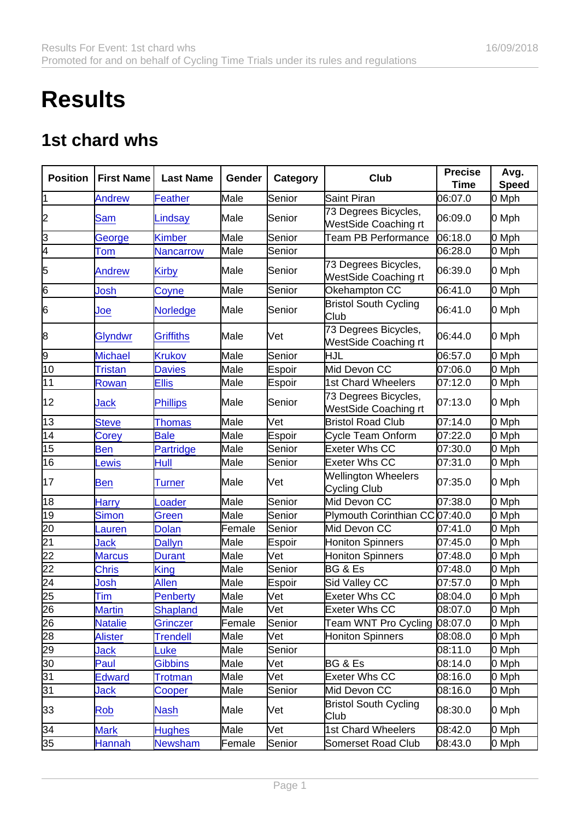## **Results**

## 1st chard whs

| Position        | <b>First Name</b> | Last Name        | Gender | Category | Club                                         | Precise  | Avg.  |
|-----------------|-------------------|------------------|--------|----------|----------------------------------------------|----------|-------|
|                 |                   |                  |        |          |                                              | Time     | Speed |
| 1               | <b>Andrew</b>     | <b>Feather</b>   | Male   | Senior   | Saint Piran                                  | 06:07.0  | 0 Mph |
| 2               | Sam               | Lindsay          | Male   | Senior   | 73 Degrees Bicycles,<br>WestSide Coaching rt | 06:09.0  | 0 Mph |
| 3               | George            | <b>Kimber</b>    | Male   | Senior   | <b>Team PB Performance</b>                   | l06:18.0 | 0 Mph |
| 4               | Tom               | <b>Nancarrow</b> | Male   | Senior   |                                              | 06:28.0  | 0 Mph |
| 5               | <b>Andrew</b>     | <b>Kirby</b>     | Male   | Senior   | 73 Degrees Bicycles,<br>WestSide Coaching rt | 06:39.0  | 0 Mph |
| 6               | Josh              | Coyne            | Male   | Senior   | Okehampton CC                                | 06:41.0  | 0 Mph |
| 6               | Joe               | Norledge         | Male   | Senior   | <b>Bristol South Cycling</b><br>Club         | 06:41.0  | 0 Mph |
| 8               | <b>Glyndwr</b>    | <b>Griffiths</b> | Male   | Vet      | 73 Degrees Bicycles,<br>WestSide Coaching rt | 06:44.0  | 0 Mph |
| 9               | <b>Michael</b>    | <b>Krukov</b>    | Male   | Senior   | HJL                                          | 06:57.0  | 0 Mph |
| 10              | <b>Tristan</b>    | <b>Davies</b>    | Male   | Espoir   | Mid Devon CC                                 | 07:06.0  | 0 Mph |
| 11              | Rowan             | <b>Ellis</b>     | Male   | Espoir   | <b>1st Chard Wheelers</b>                    | 07:12.0  | 0 Mph |
| 12              | Jack              | Phillips         | Male   | Senior   | 73 Degrees Bicycles,<br>WestSide Coaching rt | 07:13.0  | 0 Mph |
| 13              | <b>Steve</b>      | <b>Thomas</b>    | Male   | Vet      | <b>Bristol Road Club</b>                     | 07:14.0  | 0 Mph |
| 14              | Corey             | <b>Bale</b>      | Male   | Espoir   | <b>Cycle Team Onform</b>                     | 07:22.0  | 0 Mph |
| 15              | <b>Ben</b>        | <b>Partridge</b> | Male   | Senior   | <b>Exeter Whs CC</b>                         | 07:30.0  | 0 Mph |
| 16              | .ewis             | Hull             | Male   | Senior   | <b>Exeter Whs CC</b>                         | 07:31.0  | 0 Mph |
| 17              | Ben               | Turner           | Male   | Vet      | <b>Wellington Wheelers</b><br>Cycling Club   | 07:35.0  | 0 Mph |
| 18              | <b>Harry</b>      | -oader           | Male   | Senior   | Mid Devon CC                                 | 07:38.0  | 0 Mph |
| 19              | <b>Simon</b>      | Green            | Male   | Senior   | Plymouth Corinthian CC 07:40.0               |          | 0 Mph |
| $\overline{20}$ | Lauren            | Dolan            | Female | Senior   | Mid Devon CC                                 | 07:41.0  | 0 Mph |
| $\overline{21}$ | Jack              | <b>Dallyn</b>    | Male   | Espoir   | <b>Honiton Spinners</b>                      | 07:45.0  | 0 Mph |
| 22              | <b>Marcus</b>     | <b>Durant</b>    | Male   | Vet      | Honiton Spinners                             | 07:48.0  | 0 Mph |
| 22              | <b>Chris</b>      | <b>King</b>      | Male   | Senior   | BG & Es                                      | 07:48.0  | 0 Mph |
| $\overline{24}$ | Josh              | <b>Allen</b>     | Male   | Espoir   | Sid Valley CC                                | 07:57.0  | 0 Mph |
| 25              | <b>Tim</b>        | <b>Penberty</b>  | Male   | Vet      | <b>Exeter Whs CC</b>                         | 08:04.0  | 0 Mph |
| 26              | <b>Martin</b>     | <b>Shapland</b>  | Male   | Vet      | Exeter Whs CC                                | 08:07.0  | 0 Mph |
| $\overline{26}$ | <b>Natalie</b>    | Grinczer         | Female | Senior   | Team WNT Pro Cycling                         | 08:07.0  | 0 Mph |
| 28              | <b>Alister</b>    | <b>Trendell</b>  | Male   | Vet      | <b>Honiton Spinners</b>                      | 08:08.0  | 0 Mph |
| 29              | Jack              | Luke             | Male   | Senior   |                                              | 08:11.0  | 0 Mph |
| $\overline{30}$ | Paul              | <b>Gibbins</b>   | Male   | Vet      | BG & Es                                      | 08:14.0  | 0 Mph |
| 31              | <b>Edward</b>     | Trotman          | Male   | Vet      | <b>Exeter Whs CC</b>                         | 08:16.0  | 0 Mph |
| 31              | Jack              | Cooper           | Male   | Senior   | Mid Devon CC                                 | 08:16.0  | 0 Mph |
| 33              | <b>Rob</b>        | <b>Nash</b>      | Male   | Vet      | <b>Bristol South Cycling</b><br>Club         | 08:30.0  | 0 Mph |
| 34              | <b>Mark</b>       | <b>Hughes</b>    | Male   | Vet      | <b>1st Chard Wheelers</b>                    | 08:42.0  | 0 Mph |
| 35              | <b>Hannah</b>     | <b>Newsham</b>   | Female | Senior   | Somerset Road Club                           | 08:43.0  | 0 Mph |